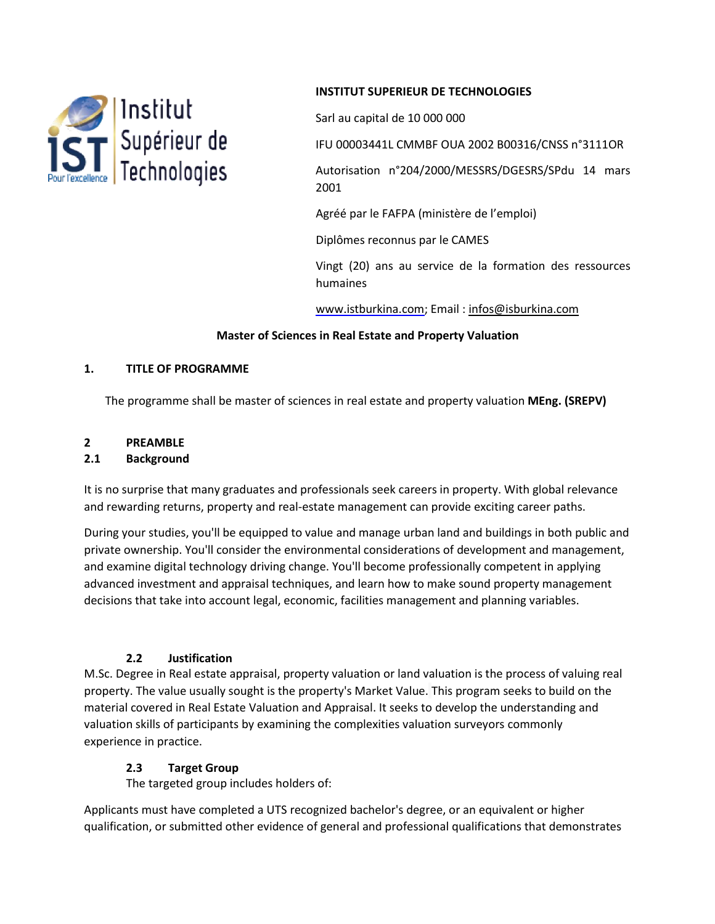

### **INSTITUT SUPERIEUR DE TECHNOLOGIES**

Sarl au capital de 10 000 000

IFU 00003441L CMMBF OUA 2002 B00316/CNSS n°3111OR

Autorisation n°204/2000/MESSRS/DGESRS/SPdu 14 mars 2001

Agréé par le FAFPA (ministère de l'emploi)

Diplômes reconnus par le CAMES

Vingt (20) ans au service de la formation des ressources humaines

www.istburkina.com; Email : [infos@isburkina.com](mailto:infos@isburkina.com)

#### **Master of Sciences in Real Estate and Property Valuation**

#### **1. TITLE OF PROGRAMME**

The programme shall be master of sciences in real estate and property valuation **MEng. (SREPV)**

# **2 PREAMBLE**

#### **2.1 Background**

It is no surprise that many graduates and professionals seek careers in property. With global relevance and rewarding returns, property and real-estate management can provide exciting career paths.

During your studies, you'll be equipped to value and manage urban land and buildings in both public and private ownership. You'll consider the environmental considerations of development and management, and examine digital technology driving change. You'll become professionally competent in applying advanced investment and appraisal techniques, and learn how to make sound property management decisions that take into account legal, economic, facilities management and planning variables.

#### **2.2 Justification**

M.Sc. Degree in Real estate appraisal, property valuation or land valuation is the process of valuing real property. The value usually sought is the property's Market Value. This program seeks to build on the material covered in Real Estate Valuation and Appraisal. It seeks to develop the understanding and valuation skills of participants by examining the complexities valuation surveyors commonly experience in practice.

#### **2.3 Target Group**

The targeted group includes holders of:

Applicants must have completed a UTS recognized bachelor's degree, or an equivalent or higher qualification, or submitted other evidence of general and professional qualifications that demonstrates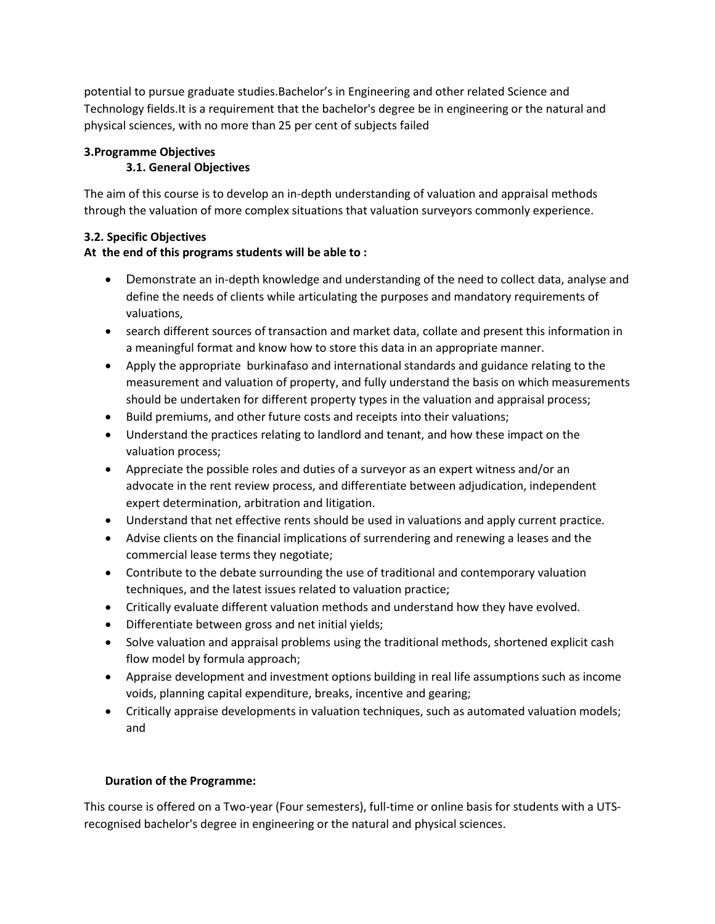potential to pursue graduate studies.Bachelor's in Engineering and other related Science and Technology fields.It is a requirement that the bachelor's degree be in engineering or the natural and physical sciences, with no more than 25 per cent of subjects failed

### **3.Programme Objectives**

#### **3.1. General Objectives**

The aim of this course is to develop an in-depth understanding of valuation and appraisal methods through the valuation of more complex situations that valuation surveyors commonly experience.

## **3.2. Specific Objectives**

## **At the end of this programs students will be able to :**

- Demonstrate an in-depth knowledge and understanding of the need to collect data, analyse and define the needs of clients while articulating the purposes and mandatory requirements of valuations,
- search different sources of transaction and market data, collate and present this information in a meaningful format and know how to store this data in an appropriate manner.
- Apply the appropriate burkinafaso and international standards and guidance relating to the measurement and valuation of property, and fully understand the basis on which measurements should be undertaken for different property types in the valuation and appraisal process;
- Build premiums, and other future costs and receipts into their valuations;
- Understand the practices relating to landlord and tenant, and how these impact on the valuation process;
- Appreciate the possible roles and duties of a surveyor as an expert witness and/or an advocate in the rent review process, and differentiate between adjudication, independent expert determination, arbitration and litigation.
- Understand that net effective rents should be used in valuations and apply current practice.
- Advise clients on the financial implications of surrendering and renewing a leases and the commercial lease terms they negotiate;
- Contribute to the debate surrounding the use of traditional and contemporary valuation techniques, and the latest issues related to valuation practice;
- Critically evaluate different valuation methods and understand how they have evolved.
- Differentiate between gross and net initial yields;
- Solve valuation and appraisal problems using the traditional methods, shortened explicit cash flow model by formula approach;
- Appraise development and investment options building in real life assumptions such as income voids, planning capital expenditure, breaks, incentive and gearing;
- Critically appraise developments in valuation techniques, such as automated valuation models; and

## **Duration of the Programme:**

This course is offered on a Two-year (Four semesters), full-time or online basis for students with a UTSrecognised bachelor's degree in engineering or the natural and physical sciences.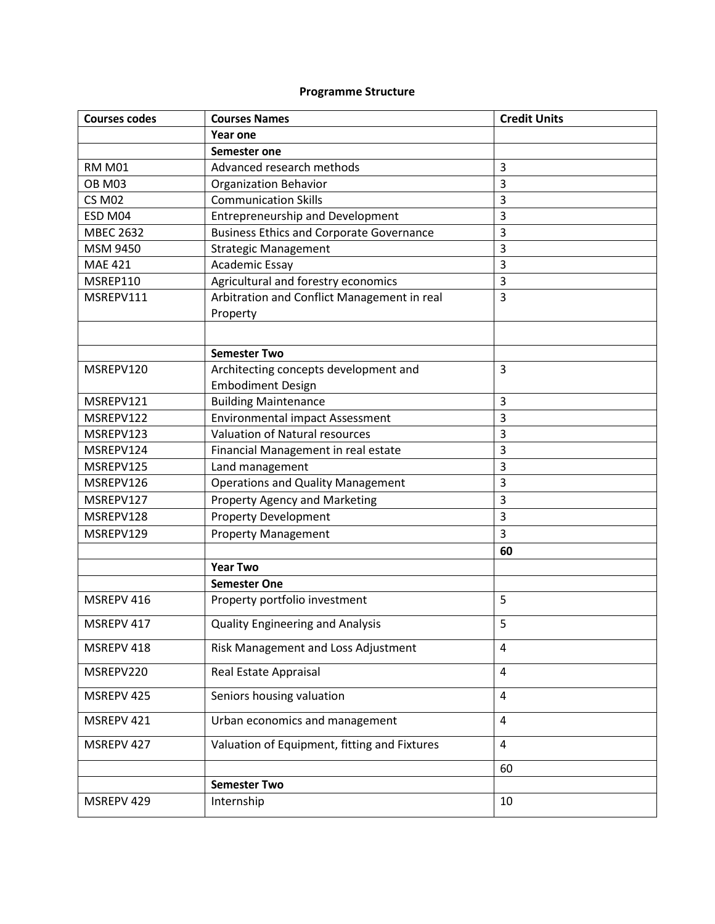# **Programme Structure**

| <b>Courses codes</b> | <b>Courses Names</b>                            | <b>Credit Units</b> |
|----------------------|-------------------------------------------------|---------------------|
|                      | Year one                                        |                     |
|                      | Semester one                                    |                     |
| <b>RM M01</b>        | Advanced research methods                       | 3                   |
| <b>OB M03</b>        | <b>Organization Behavior</b>                    | 3                   |
| <b>CS M02</b>        | <b>Communication Skills</b>                     | 3                   |
| ESD M04              | <b>Entrepreneurship and Development</b>         | 3                   |
| <b>MBEC 2632</b>     | <b>Business Ethics and Corporate Governance</b> | 3                   |
| MSM 9450             | <b>Strategic Management</b>                     | 3                   |
| <b>MAE 421</b>       | <b>Academic Essay</b>                           | 3                   |
| MSREP110             | Agricultural and forestry economics             | 3                   |
| MSREPV111            | Arbitration and Conflict Management in real     | 3                   |
|                      | Property                                        |                     |
|                      |                                                 |                     |
|                      | <b>Semester Two</b>                             |                     |
| MSREPV120            | Architecting concepts development and           | 3                   |
|                      | <b>Embodiment Design</b>                        |                     |
| MSREPV121            | <b>Building Maintenance</b>                     | 3                   |
| MSREPV122            | Environmental impact Assessment                 | 3                   |
| MSREPV123            | <b>Valuation of Natural resources</b>           | 3                   |
| MSREPV124            | Financial Management in real estate             | 3                   |
| MSREPV125            | Land management                                 | 3                   |
| MSREPV126            | <b>Operations and Quality Management</b>        | 3                   |
| MSREPV127            | <b>Property Agency and Marketing</b>            | 3                   |
| MSREPV128            | <b>Property Development</b>                     | 3                   |
| MSREPV129            | <b>Property Management</b>                      | 3                   |
|                      |                                                 | 60                  |
|                      | <b>Year Two</b>                                 |                     |
|                      | <b>Semester One</b>                             |                     |
| MSREPV 416           | Property portfolio investment                   | 5                   |
| MSREPV 417           | <b>Quality Engineering and Analysis</b>         | 5                   |
| MSREPV 418           | Risk Management and Loss Adjustment             | $\overline{4}$      |
| MSREPV220            | Real Estate Appraisal                           | 4                   |
| MSREPV 425           | Seniors housing valuation                       | 4                   |
| MSREPV 421           | Urban economics and management                  | 4                   |
| MSREPV 427           | Valuation of Equipment, fitting and Fixtures    | $\overline{4}$      |
|                      |                                                 | 60                  |
|                      | <b>Semester Two</b>                             |                     |
| MSREPV 429           | Internship                                      | 10                  |